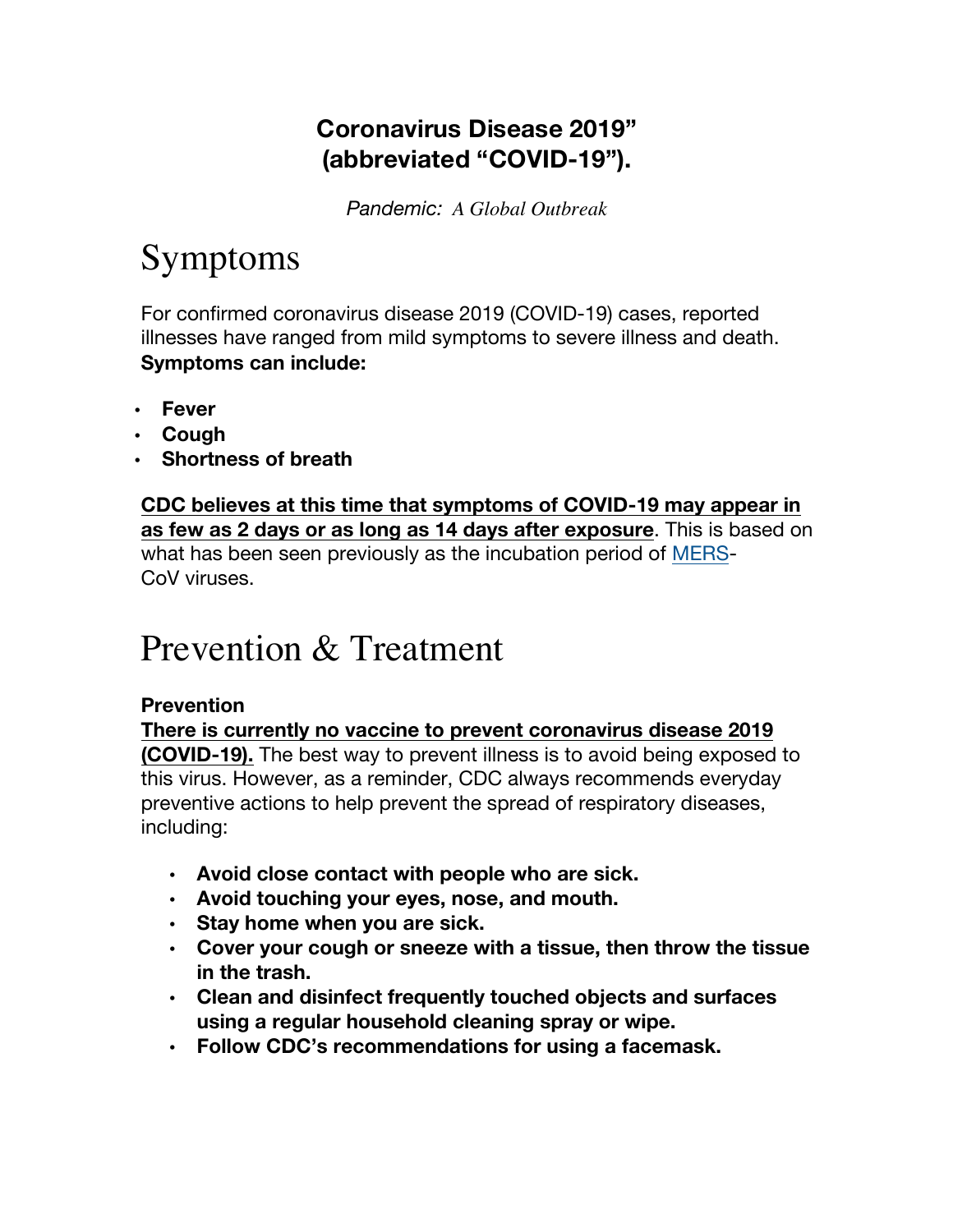### **Coronavirus Disease 2019" (abbreviated "COVID-19").**

*Pandemic: A Global Outbreak*

# Symptoms

For confirmed coronavirus disease 2019 (COVID-19) cases, reported illnesses have ranged from mild symptoms to severe illness and death. **Symptoms can include:**

- **Fever**
- **Cough**
- **Shortness of breath**

**CDC believes at this time that symptoms of COVID-19 may appear in as few as 2 days or as long as 14 days after exposure**. This is based on what has been seen previously as the incubation period of MERS-CoV viruses.

## Prevention & Treatment

### **Prevention**

**There is currently no vaccine to prevent coronavirus disease 2019 (COVID-19).** The best way to prevent illness is to avoid being exposed to this virus. However, as a reminder, CDC always recommends everyday preventive actions to help prevent the spread of respiratory diseases, including:

- **Avoid close contact with people who are sick.**
- **Avoid touching your eyes, nose, and mouth.**
- **Stay home when you are sick.**
- **Cover your cough or sneeze with a tissue, then throw the tissue in the trash.**
- **Clean and disinfect frequently touched objects and surfaces using a regular household cleaning spray or wipe.**
- **Follow CDC's recommendations for using a facemask.**